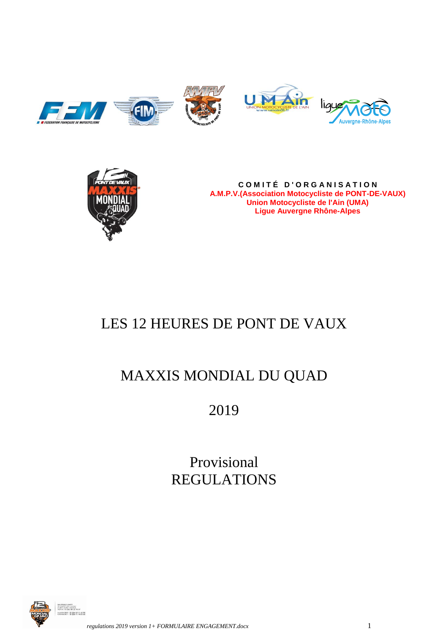



**C O M I T É D ' O R G A N I S A T I O N A.M.P.V.(Association Motocycliste de PONT-DE-VAUX) Union Motocycliste de l'Ain (UMA) Ligue Auvergne Rhône-Alpes**

# LES 12 HEURES DE PONT DE VAUX

# MAXXIS MONDIAL DU QUAD

# 2019

Provisional REGULATIONS

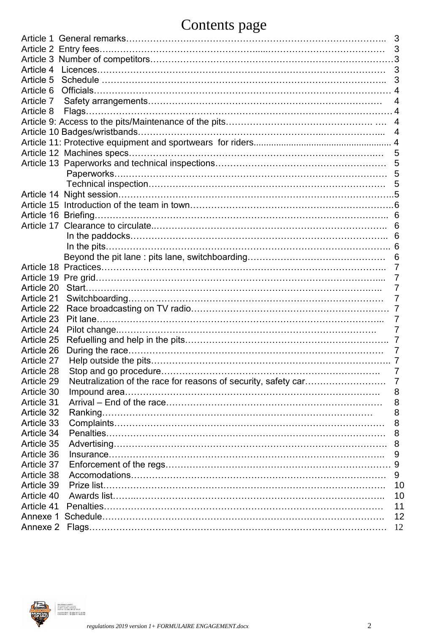# Contents page

| -0                                                                                |  |
|-----------------------------------------------------------------------------------|--|
|                                                                                   |  |
| 3                                                                                 |  |
|                                                                                   |  |
| Article 4<br>3                                                                    |  |
| Article 5<br>3                                                                    |  |
| Article 6                                                                         |  |
| Article 7<br>4                                                                    |  |
| Article 8                                                                         |  |
| 4                                                                                 |  |
| 4                                                                                 |  |
|                                                                                   |  |
| 5                                                                                 |  |
| 5                                                                                 |  |
|                                                                                   |  |
| 5                                                                                 |  |
|                                                                                   |  |
|                                                                                   |  |
|                                                                                   |  |
| 6                                                                                 |  |
| 6                                                                                 |  |
|                                                                                   |  |
| 6                                                                                 |  |
| 7                                                                                 |  |
|                                                                                   |  |
|                                                                                   |  |
| Article 20<br>7                                                                   |  |
| Article 21<br>7                                                                   |  |
| Article 22                                                                        |  |
| Article 23                                                                        |  |
| Article 24<br>7                                                                   |  |
| Article 25<br>7                                                                   |  |
| Article 26                                                                        |  |
| Article 27                                                                        |  |
| Article 28<br>7                                                                   |  |
| Neutralization of the race for reasons of security, safety car<br>Article 29<br>7 |  |
| Article 30<br>8                                                                   |  |
| Article 31<br>8                                                                   |  |
| Article 32<br>8                                                                   |  |
| Article 33<br>8                                                                   |  |
| Article 34<br>8                                                                   |  |
| Article 35<br>8                                                                   |  |
| Article 36<br>9                                                                   |  |
| Article 37<br>9                                                                   |  |
| Article 38<br>9                                                                   |  |
| Article 39<br>10                                                                  |  |
| Article 40<br>10                                                                  |  |
| Article 41<br>11                                                                  |  |
| 12<br>Annexe 1                                                                    |  |
| Annexe 2<br>12                                                                    |  |
|                                                                                   |  |

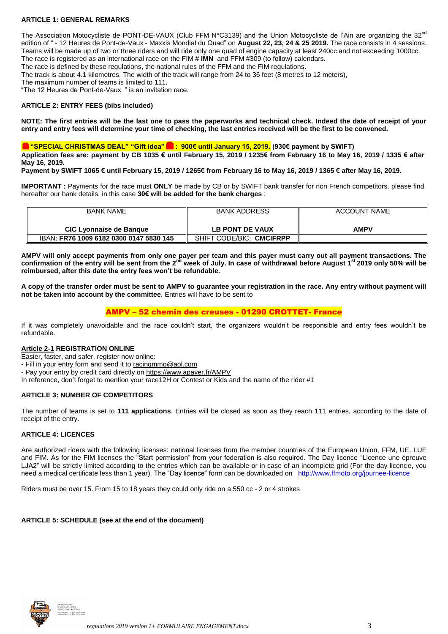# **ARTICLE 1: GENERAL REMARKS**

The Association Motocycliste de PONT-DE-VAUX (Club FFM N°C3139) and the Union Motocycliste de l'Ain are organizing the 32<sup>no</sup> edition of " - 12 Heures de Pont-de-Vaux - Maxxis Mondial du Quad" on **August 22, 23, 24 & 25 2019.** The race consists in 4 sessions. Teams will be made up of two or three riders and will ride only one quad of engine capacity at least 240cc and not exceeding 1000cc. The race is registered as an international race on the FIM # **IMN** and FFM #309 (to follow) calendars.

The race is defined by these regulations, the national rules of the FFM and the FIM regulations.

The track is about 4.1 kilometres. The width of the track will range from 24 to 36 feet (8 metres to 12 meters),

The maximum number of teams is limited to 111.

"The 12 Heures de Pont-de-Vaux " is an invitation race.

### **ARTICLE 2: ENTRY FEES (bibs included)**

**NOTE: The first entries will be the last one to pass the paperworks and technical check. Indeed the date of receipt of your entry and entry fees will determine your time of checking, the last entries received will be the first to be convened.**

# **"SPECIAL CHRISTMAS DEAL" "Gift idea": 900€ until January 15, 2019. (930€ payment by SWIFT)**

**Application fees are: payment by CB 1035 € until February 15, 2019 / 1235€ from February 16 to May 16, 2019 / 1335 € after May 16, 2019.**

**Payment by SWIFT 1065 € until February 15, 2019 / 1265€ from February 16 to May 16, 2019 / 1365 € after May 16, 2019.**

**IMPORTANT :** Payments for the race must **ONLY** be made by CB or by SWIFT bank transfer for non French competitors, please find hereafter our bank details, in this case **30€ will be added for the bank charges** :

| <b>BANK NAME</b>                        | <b>BANK ADDRESS</b>      | <b>ACCOUNT NAME</b> |
|-----------------------------------------|--------------------------|---------------------|
|                                         |                          |                     |
| CIC Lyonnaise de Banque                 | LB PONT DE VAUX          | AMPV                |
| IBAN: FR76 1009 6182 0300 0147 5830 145 | SHIFT CODE/BIC: CMCIFRPP |                     |

**AMPV will only accept payments from only one payer per team and this payer must carry out all payment transactions. The confirmation of the entry will be sent from the 2nd week of July. In case of withdrawal before August 1st 2019 only 50% will be reimbursed, after this date the entry fees won't be refundable.** 

**A copy of the transfer order must be sent to AMPV to guarantee your registration in the race. Any entry without payment will not be taken into account by the committee.** Entries will have to be sent to

# AMPV – 52 chemin des creuses - 01290 CROTTET- France

If it was completely unavoidable and the race couldn't start, the organizers wouldn't be responsible and entry fees wouldn't be refundable.

#### **Article 2-1 REGISTRATION ONLINE**

Easier, faster, and safer, register now online:

- Fill in your entry form and send it to [racingmmo@aol.com](mailto:racingmmo@aol.com)

- Pay your entry by credit card directly on<https://www.apayer.fr/AMPV>

In reference, don't forget to mention your race12H or Contest or Kids and the name of the rider #1

# **ARTICLE 3: NUMBER OF COMPETITORS**

The number of teams is set to **111 applications**. Entries will be closed as soon as they reach 111 entries, according to the date of receipt of the entry.

#### **ARTICLE 4: LICENCES**

Are authorized riders with the following licenses: national licenses from the member countries of the European Union, FFM, UE, LUE and FIM. As for the FIM licenses the "Start permission" from your federation is also required. The Day licence "Licence une épreuve LJA2" will be strictly limited according to the entries which can be available or in case of an incomplete grid (For the day licence, you need a medical certificate less than 1 year). The "Day licence" form can be downloaded on <http://www.ffmoto.org/journee-licence>

Riders must be over 15. From 15 to 18 years they could only ride on a 550 cc - 2 or 4 strokes

#### **ARTICLE 5: SCHEDULE (see at the end of the document)**

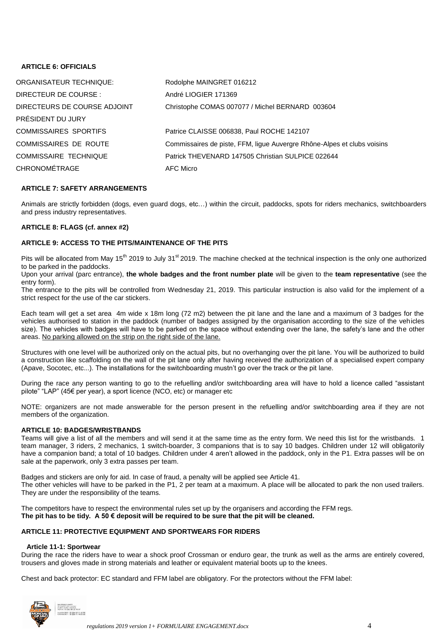# **ARTICLE 6: OFFICIALS**

| ORGANISATEUR TECHNIQUE:      | Rodolphe MAINGRET 016212                                                |
|------------------------------|-------------------------------------------------------------------------|
| DIRECTEUR DE COURSE :        | André LIOGIER 171369                                                    |
| DIRECTEURS DE COURSE ADJOINT | Christophe COMAS 007077 / Michel BERNARD 003604                         |
| PRÉSIDENT DU JURY            |                                                                         |
| <b>COMMISSAIRES SPORTIFS</b> | Patrice CLAISSE 006838, Paul ROCHE 142107                               |
| <b>COMMISSAIRES DE ROUTE</b> | Commissaires de piste, FFM, lique Auvergre Rhône-Alpes et clubs voisins |
| <b>COMMISSAIRE TECHNIQUE</b> | Patrick THEVENARD 147505 Christian SULPICE 022644                       |
| <b>CHRONOMÉTRAGE</b>         | AFC Micro                                                               |

### **ARTICLE 7: SAFETY ARRANGEMENTS**

Animals are strictly forbidden (dogs, even guard dogs, etc…) within the circuit, paddocks, spots for riders mechanics, switchboarders and press industry representatives.

#### **ARTICLE 8: FLAGS (cf. annex #2)**

### **ARTICLE 9: ACCESS TO THE PITS/MAINTENANCE OF THE PITS**

Pits will be allocated from May 15<sup>th</sup> 2019 to July 31<sup>st</sup> 2019. The machine checked at the technical inspection is the only one authorized to be parked in the paddocks.

Upon your arrival (parc entrance), **the whole badges and the front number plate** will be given to the **team representative** (see the entry form).

The entrance to the pits will be controlled from Wednesday 21, 2019. This particular instruction is also valid for the implement of a strict respect for the use of the car stickers.

Each team will get a set area 4m wide x 18m long (72 m2) between the pit lane and the lane and a maximum of 3 badges for the vehicles authorised to station in the paddock (number of badges assigned by the organisation according to the size of the vehicles size). The vehicles with badges will have to be parked on the space without extending over the lane, the safety's lane and the other areas. No parking allowed on the strip on the right side of the lane.

Structures with one level will be authorized only on the actual pits, but no overhanging over the pit lane. You will be authorized to build a construction like scaffolding on the wall of the pit lane only after having received the authorization of a specialised expert company (Apave, Socotec, etc...). The installations for the switchboarding mustn't go over the track or the pit lane.

During the race any person wanting to go to the refuelling and/or switchboarding area will have to hold a licence called "assistant pilote" "LAP" (45€ per year), a sport licence (NCO, etc) or manager etc

NOTE: organizers are not made answerable for the person present in the refuelling and/or switchboarding area if they are not members of the organization.

#### **ARTICLE 10: BADGES/WRISTBANDS**

Teams will give a list of all the members and will send it at the same time as the entry form. We need this list for the wristbands. 1 team manager, 3 riders, 2 mechanics, 1 switch-boarder, 3 companions that is to say 10 badges. Children under 12 will obligatorily have a companion band; a total of 10 badges. Children under 4 aren't allowed in the paddock, only in the P1. Extra passes will be on sale at the paperwork, only 3 extra passes per team.

Badges and stickers are only for aid. In case of fraud, a penalty will be applied see Article 41. The other vehicles will have to be parked in the P1, 2 per team at a maximum. A place will be allocated to park the non used trailers. They are under the responsibility of the teams.

The competitors have to respect the environmental rules set up by the organisers and according the FFM regs. **The pit has to be tidy. A 50 € deposit will be required to be sure that the pit will be cleaned.**

#### **ARTICLE 11: PROTECTIVE EQUIPMENT AND SPORTWEARS FOR RIDERS**

#### **Article 11-1: Sportwear**

During the race the riders have to wear a shock proof Crossman or enduro gear, the trunk as well as the arms are entirely covered, trousers and gloves made in strong materials and leather or equivalent material boots up to the knees.

Chest and back protector: EC standard and FFM label are obligatory. For the protectors without the FFM label:

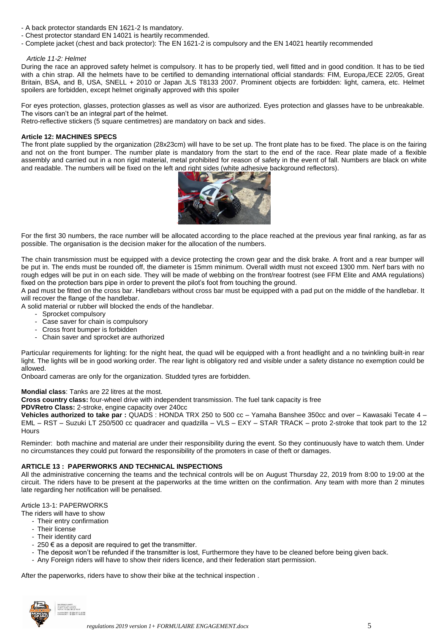- A back protector standards EN 1621-2 Is mandatory.
- Chest protector standard EN 14021 is heartily recommended.
- Complete jacket (chest and back protector): The EN 1621-2 is compulsory and the EN 14021 heartily recommended

#### *Article 11-2: Helmet*

During the race an approved safety helmet is compulsory. It has to be properly tied, well fitted and in good condition. It has to be tied with a chin strap. All the helmets have to be certified to demanding international official standards: FIM, Europa,/ECE 22/05, Great Britain, BSA, and B, USA, SNELL + 2010 or Japan JLS T8133 2007. Prominent objects are forbidden: light, camera, etc. Helmet spoilers are forbidden, except helmet originally approved with this spoiler

For eyes protection, glasses, protection glasses as well as visor are authorized. Eyes protection and glasses have to be unbreakable. The visors can't be an integral part of the helmet.

Retro-reflective stickers (5 square centimetres) are mandatory on back and sides.

#### **Article 12: MACHINES SPECS**

The front plate supplied by the organization (28x23cm) will have to be set up. The front plate has to be fixed. The place is on the fairing and not on the front bumper. The number plate is mandatory from the start to the end of the race. Rear plate made of a flexible assembly and carried out in a non rigid material, metal prohibited for reason of safety in the event of fall. Numbers are black on white and readable. The numbers will be fixed on the left and right sides (white adhesive background reflectors).



For the first 30 numbers, the race number will be allocated according to the place reached at the previous year final ranking, as far as possible. The organisation is the decision maker for the allocation of the numbers.

The chain transmission must be equipped with a device protecting the crown gear and the disk brake. A front and a rear bumper will be put in. The ends must be rounded off, the diameter is 15mm minimum. Overall width must not exceed 1300 mm. Nerf bars with no rough edges will be put in on each side. They will be made of webbing on the front/rear footrest (see FFM Elite and AMA regulations) fixed on the protection bars pipe in order to prevent the pilot's foot from touching the ground.

A pad must be fitted on the cross bar. Handlebars without cross bar must be equipped with a pad put on the middle of the handlebar. It will recover the flange of the handlebar.

A solid material or rubber will blocked the ends of the handlebar.

- Sprocket compulsory
- Case saver for chain is compulsory
- Cross front bumper is forbidden
- Chain saver and sprocket are authorized

Particular requirements for lighting: for the night heat, the quad will be equipped with a front headlight and a no twinkling built-in rear light. The lights will be in good working order. The rear light is obligatory red and visible under a safety distance no exemption could be allowed.

Onboard cameras are only for the organization. Studded tyres are forbidden.

#### **Mondial class**: Tanks are 22 litres at the most.

**Cross country class:** four-wheel drive with independent transmission. The fuel tank capacity is free

**PDVRetro Class:** 2-stroke, engine capacity over 240cc

**Vehicles authorized to take par :** QUADS : HONDA TRX 250 to 500 cc – Yamaha Banshee 350cc and over – Kawasaki Tecate 4 – EML – RST – Suzuki LT 250/500 cc quadracer and quadzilla – VLS – EXY – STAR TRACK – proto 2-stroke that took part to the 12 **Hours** 

Reminder: both machine and material are under their responsibility during the event. So they continuously have to watch them. Under no circumstances they could put forward the responsibility of the promoters in case of theft or damages.

#### **ARTICLE 13 : PAPERWORKS AND TECHNICAL INSPECTIONS**

All the administrative concerning the teams and the technical controls will be on August Thursday 22, 2019 from 8:00 to 19:00 at the circuit. The riders have to be present at the paperworks at the time written on the confirmation. Any team with more than 2 minutes late regarding her notification will be penalised.

# Article 13-1: PAPERWORKS

The riders will have to show

- Their entry confirmation
- Their license
- Their identity card
- 250  $\epsilon$  as a deposit are required to get the transmitter.
- The deposit won't be refunded if the transmitter is lost, Furthermore they have to be cleaned before being given back.
- Any Foreign riders will have to show their riders licence, and their federation start permission.

After the paperworks, riders have to show their bike at the technical inspection .

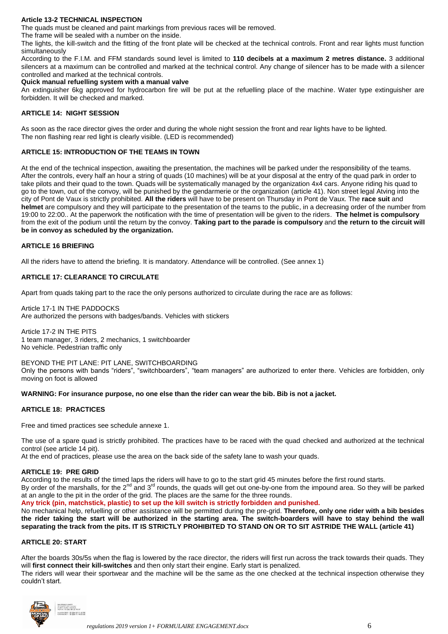# **Article 13-2 TECHNICAL INSPECTION**

The quads must be cleaned and paint markings from previous races will be removed.

The frame will be sealed with a number on the inside.

The lights, the kill-switch and the fitting of the front plate will be checked at the technical controls. Front and rear lights must function simultaneously

According to the F.I.M. and FFM standards sound level is limited to **110 decibels at a maximum 2 metres distance.** 3 additional silencers at a maximum can be controlled and marked at the technical control. Any change of silencer has to be made with a silencer controlled and marked at the technical controls.

### **Quick manual refuelling system with a manual valve**

An extinguisher 6kg approved for hydrocarbon fire will be put at the refuelling place of the machine. Water type extinguisher are forbidden. It will be checked and marked.

### **ARTICLE 14: NIGHT SESSION**

As soon as the race director gives the order and during the whole night session the front and rear lights have to be lighted. The non flashing rear red light is clearly visible. (LED is recommended)

### **ARTICLE 15: INTRODUCTION OF THE TEAMS IN TOWN**

At the end of the technical inspection, awaiting the presentation, the machines will be parked under the responsibility of the teams. After the controls, every half an hour a string of quads (10 machines) will be at your disposal at the entry of the quad park in order to take pilots and their quad to the town. Quads will be systematically managed by the organization 4x4 cars. Anyone riding his quad to go to the town, out of the convoy, will be punished by the gendarmerie or the organization (article 41). Non street legal Atving into the city of Pont de Vaux is strictly prohibited. **All the riders** will have to be present on Thursday in Pont de Vaux. The **race suit** and **helmet** are compulsory and they will participate to the presentation of the teams to the public, in a decreasing order of the number from 19:00 to 22:00.. At the paperwork the notification with the time of presentation will be given to the riders. **The helmet is compulsory** from the exit of the podium until the return by the convoy. **Taking part to the parade is compulsory** and **the return to the circuit will be in convoy as scheduled by the organization.** 

### **ARTICLE 16 BRIEFING**

All the riders have to attend the briefing. It is mandatory. Attendance will be controlled. (See annex 1)

# **ARTICLE 17: CLEARANCE TO CIRCULATE**

Apart from quads taking part to the race the only persons authorized to circulate during the race are as follows:

Article 17-1 IN THE PADDOCKS Are authorized the persons with badges/bands. Vehicles with stickers

Article 17-2 IN THE PITS 1 team manager, 3 riders, 2 mechanics, 1 switchboarder No vehicle. Pedestrian traffic only

BEYOND THE PIT LANE: PIT LANE, SWITCHBOARDING Only the persons with bands "riders", "switchboarders", "team managers" are authorized to enter there. Vehicles are forbidden, only moving on foot is allowed

#### **WARNING: For insurance purpose, no one else than the rider can wear the bib. Bib is not a jacket.**

#### **ARTICLE 18: PRACTICES**

Free and timed practices see schedule annexe 1.

The use of a spare quad is strictly prohibited. The practices have to be raced with the quad checked and authorized at the technical control (see article 14 pit).

At the end of practices, please use the area on the back side of the safety lane to wash your quads.

#### **ARTICLE 19: PRE GRID**

According to the results of the timed laps the riders will have to go to the start grid 45 minutes before the first round starts.

By order of the marshalls, for the 2<sup>nd</sup> and 3<sup>rd</sup> rounds, the quads will get out one-by-one from the impound area. So they will be parked at an angle to the pit in the order of the grid. The places are the same for the three rounds.

**Any trick (pin, matchstick, plastic) to set up the kill switch is strictly forbidden and punished.**

No mechanical help, refuelling or other assistance will be permitted during the pre-grid. **Therefore, only one rider with a bib besides the rider taking the start will be authorized in the starting area. The switch-boarders will have to stay behind the wall separating the track from the pits. IT IS STRICTLY PROHIBITED TO STAND ON OR TO SIT ASTRIDE THE WALL (article 41)**

#### **ARTICLE 20: START**

After the boards 30s/5s when the flag is lowered by the race director, the riders will first run across the track towards their quads. They will **first connect their kill-switches** and then only start their engine. Early start is penalized.

The riders will wear their sportwear and the machine will be the same as the one checked at the technical inspection otherwise they couldn't start.

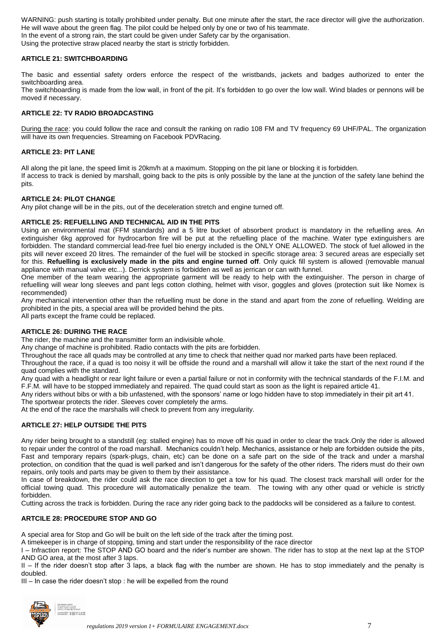WARNING: push starting is totally prohibited under penalty. But one minute after the start, the race director will give the authorization. He will wave about the green flag. The pilot could be helped only by one or two of his teammate. In the event of a strong rain, the start could be given under Safety car by the organisation. Using the protective straw placed nearby the start is strictly forbidden.

### **ARTICLE 21: SWITCHBOARDING**

The basic and essential safety orders enforce the respect of the wristbands, jackets and badges authorized to enter the switchboarding area.

The switchboarding is made from the low wall, in front of the pit. It's forbidden to go over the low wall. Wind blades or pennons will be moved if necessary.

### **ARTICLE 22: TV RADIO BROADCASTING**

During the race: you could follow the race and consult the ranking on radio 108 FM and TV frequency 69 UHF/PAL. The organization will have its own frequencies. Streaming on Facebook PDVRacing.

### **ARTICLE 23: PIT LANE**

All along the pit lane, the speed limit is 20km/h at a maximum. Stopping on the pit lane or blocking it is forbidden. If access to track is denied by marshall, going back to the pits is only possible by the lane at the junction of the safety lane behind the pits.

#### **ARTICLE 24: PILOT CHANGE**

Any pilot change will be in the pits, out of the deceleration stretch and engine turned off.

#### **ARTICLE 25: REFUELLING AND TECHNICAL AID IN THE PITS**

Using an environmental mat (FFM standards) and a 5 litre bucket of absorbent product is mandatory in the refuelling area. An extinguisher 6kg approved for hydrocarbon fire will be put at the refuelling place of the machine. Water type extinguishers are forbidden. The standard commercial lead-free fuel bio energy included is the ONLY ONE ALLOWED. The stock of fuel allowed in the pits will never exceed 20 litres. The remainder of the fuel will be stocked in specific storage area: 3 secured areas are especially set for this. **Refuelling is exclusively made in the pits and engine turned off**. Only quick fill system is allowed (removable manual appliance with manual valve etc...). Derrick system is forbidden as well as jerrican or can with funnel.

One member of the team wearing the appropriate garment will be ready to help with the extinguisher. The person in charge of refuelling will wear long sleeves and pant legs cotton clothing, helmet with visor, goggles and gloves (protection suit like Nomex is recommended)

Any mechanical intervention other than the refuelling must be done in the stand and apart from the zone of refuelling. Welding are prohibited in the pits, a special area will be provided behind the pits.

All parts except the frame could be replaced.

#### **ARTICLE 26: DURING THE RACE**

The rider, the machine and the transmitter form an indivisible whole.

Any change of machine is prohibited. Radio contacts with the pits are forbidden.

Throughout the race all quads may be controlled at any time to check that neither quad nor marked parts have been replaced.

Throughout the race, if a quad is too noisy it will be offside the round and a marshall will allow it take the start of the next round if the quad complies with the standard.

Any quad with a headlight or rear light failure or even a partial failure or not in conformity with the technical standards of the F.I.M. and F.F.M. will have to be stopped immediately and repaired. The quad could start as soon as the light is repaired article 41.

Any riders without bibs or with a bib unfastened, with the sponsors' name or logo hidden have to stop immediately in their pit art 41.

The sportwear protects the rider. Sleeves cover completely the arms.

At the end of the race the marshalls will check to prevent from any irregularity.

# **ARTICLE 27: HELP OUTSIDE THE PITS**

Any rider being brought to a standstill (eg: stalled engine) has to move off his quad in order to clear the track.Only the rider is allowed to repair under the control of the road marshall. Mechanics couldn't help. Mechanics, assistance or help are forbidden outside the pits, Fast and temporary repairs (spark-plugs, chain, etc) can be done on a safe part on the side of the track and under a marshal protection, on condition that the quad is well parked and isn't dangerous for the safety of the other riders. The riders must do their own repairs, only tools and parts may be given to them by their assistance.

In case of breakdown, the rider could ask the race direction to get a tow for his quad. The closest track marshall will order for the official towing quad. This procedure will automatically penalize the team. The towing with any other quad or vehicle is strictly forbidden.

Cutting across the track is forbidden. During the race any rider going back to the paddocks will be considered as a failure to contest.

#### **ARTCILE 28: PROCEDURE STOP AND GO**

A special area for Stop and Go will be built on the left side of the track after the timing post.

A timekeeper is in charge of stopping, timing and start under the responsibility of the race director

I – Infraction report: The STOP AND GO board and the rider's number are shown. The rider has to stop at the next lap at the STOP AND GO area, at the most after 3 laps.

II – If the rider doesn't stop after 3 laps, a black flag with the number are shown. He has to stop immediately and the penalty is doubled.

III – In case the rider doesn't stop : he will be expelled from the round

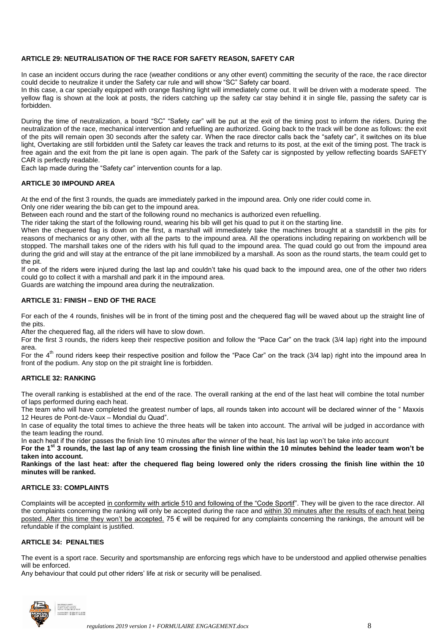# **ARTICLE 29: NEUTRALISATION OF THE RACE FOR SAFETY REASON, SAFETY CAR**

In case an incident occurs during the race (weather conditions or any other event) committing the security of the race, the race director could decide to neutralize it under the Safety car rule and will show "SC" Safety car board.

In this case, a car specially equipped with orange flashing light will immediately come out. It will be driven with a moderate speed. The yellow flag is shown at the look at posts, the riders catching up the safety car stay behind it in single file, passing the safety car is forbidden.

During the time of neutralization, a board "SC" "Safety car" will be put at the exit of the timing post to inform the riders. During the neutralization of the race, mechanical intervention and refuelling are authorized. Going back to the track will be done as follows: the exit of the pits will remain open 30 seconds after the safety car. When the race director calls back the "safety car", it switches on its blue light, Overtaking are still forbidden until the Safety car leaves the track and returns to its post, at the exit of the timing post. The track is free again and the exit from the pit lane is open again. The park of the Safety car is signposted by yellow reflecting boards SAFETY CAR is perfectly readable.

Each lap made during the "Safety car" intervention counts for a lap.

# **ARTICLE 30 IMPOUND AREA**

At the end of the first 3 rounds, the quads are immediately parked in the impound area. Only one rider could come in.

Only one rider wearing the bib can get to the impound area.

Between each round and the start of the following round no mechanics is authorized even refuelling.

The rider taking the start of the following round, wearing his bib will get his quad to put it on the starting line.

When the chequered flag is down on the first, a marshall will immediately take the machines brought at a standstill in the pits for reasons of mechanics or any other, with all the parts to the impound area. All the operations including repairing on workbench will be stopped. The marshall takes one of the riders with his full quad to the impound area. The quad could go out from the impound area during the grid and will stay at the entrance of the pit lane immobilized by a marshall. As soon as the round starts, the team could get to the pit.

If one of the riders were injured during the last lap and couldn't take his quad back to the impound area, one of the other two riders could go to collect it with a marshall and park it in the impound area.

Guards are watching the impound area during the neutralization.

# **ARTICLE 31: FINISH – END OF THE RACE**

For each of the 4 rounds, finishes will be in front of the timing post and the chequered flag will be waved about up the straight line of the pits.

After the chequered flag, all the riders will have to slow down.

For the first 3 rounds, the riders keep their respective position and follow the "Pace Car" on the track (3/4 lap) right into the impound area.

For the 4<sup>th</sup> round riders keep their respective position and follow the "Pace Car" on the track (3/4 lap) right into the impound area In front of the podium. Any stop on the pit straight line is forbidden.

# **ARTICLE 32: RANKING**

The overall ranking is established at the end of the race. The overall ranking at the end of the last heat will combine the total number of laps performed during each heat.

The team who will have completed the greatest number of laps, all rounds taken into account will be declared winner of the " Maxxis 12 Heures de Pont-de-Vaux – Mondial du Quad".

In case of equality the total times to achieve the three heats will be taken into account. The arrival will be judged in accordance with the team leading the round.

In each heat if the rider passes the finish line 10 minutes after the winner of the heat, his last lap won't be take into account

**For the 1st 3 rounds, the last lap of any team crossing the finish line within the 10 minutes behind the leader team won't be taken into account.**

**Rankings of the last heat: after the chequered flag being lowered only the riders crossing the finish line within the 10 minutes will be ranked.**

# **ARTICLE 33: COMPLAINTS**

Complaints will be accepted in conformity with article 510 and following of the "Code Sportif". They will be given to the race director. All the complaints concerning the ranking will only be accepted during the race and within 30 minutes after the results of each heat being posted. After this time they won't be accepted. 75 € will be required for any complaints concerning the rankings, the amount will be refundable if the complaint is justified.

# **ARTICLE 34: PENALTIES**

The event is a sport race. Security and sportsmanship are enforcing regs which have to be understood and applied otherwise penalties will be enforced.

Any behaviour that could put other riders' life at risk or security will be penalised.

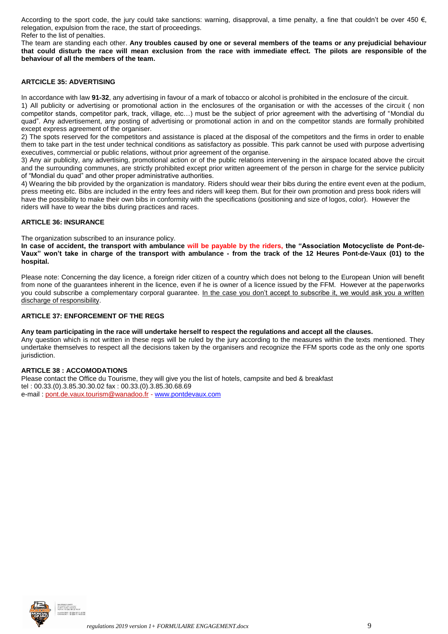According to the sport code, the jury could take sanctions: warning, disapproval, a time penalty, a fine that couldn't be over 450  $\epsilon$ , relegation, expulsion from the race, the start of proceedings.

Refer to the list of penalties.

The team are standing each other. **Any troubles caused by one or several members of the teams or any prejudicial behaviour that could disturb the race will mean exclusion from the race with immediate effect. The pilots are responsible of the behaviour of all the members of the team.**

# **ARTCICLE 35: ADVERTISING**

In accordance with law **91-32**, any advertising in favour of a mark of tobacco or alcohol is prohibited in the enclosure of the circuit.

1) All publicity or advertising or promotional action in the enclosures of the organisation or with the accesses of the circuit ( non competitor stands, competitor park, track, village, etc…) must be the subject of prior agreement with the advertising of "Mondial du quad". Any advertisement, any posting of advertising or promotional action in and on the competitor stands are formally prohibited except express agreement of the organiser.

2) The spots reserved for the competitors and assistance is placed at the disposal of the competitors and the firms in order to enable them to take part in the test under technical conditions as satisfactory as possible. This park cannot be used with purpose advertising executives, commercial or public relations, without prior agreement of the organise.

3) Any air publicity, any advertising, promotional action or of the public relations intervening in the airspace located above the circuit and the surrounding communes, are strictly prohibited except prior written agreement of the person in charge for the service publicity of "Mondial du quad" and other proper administrative authorities.

4) Wearing the bib provided by the organization is mandatory. Riders should wear their bibs during the entire event even at the podium, press meeting etc. Bibs are included in the entry fees and riders will keep them. But for their own promotion and press book riders will have the possibility to make their own bibs in conformity with the specifications (positioning and size of logos, color). However the riders will have to wear the bibs during practices and races.

#### **ARTICLE 36: INSURANCE**

The organization subscribed to an insurance policy.

**In case of accident, the transport with ambulance will be payable by the riders, the "Association Motocycliste de Pont-de-Vaux" won't take in charge of the transport with ambulance - from the track of the 12 Heures Pont-de-Vaux (01) to the hospital.**

Please note: Concerning the day licence, a foreign rider citizen of a country which does not belong to the European Union will benefit from none of the guarantees inherent in the licence, even if he is owner of a licence issued by the FFM. However at the paperworks you could subscribe a complementary corporal guarantee. In the case you don't accept to subscribe it, we would ask you a written discharge of responsibility.

### **ARTICLE 37: ENFORCEMENT OF THE REGS**

#### **Any team participating in the race will undertake herself to respect the regulations and accept all the clauses.**

Any question which is not written in these regs will be ruled by the jury according to the measures within the texts mentioned. They undertake themselves to respect all the decisions taken by the organisers and recognize the FFM sports code as the only one sports jurisdiction.

# **ARTICLE 38 : ACCOMODATIONS**

Please contact the Office du Tourisme, they will give you the list of hotels, campsite and bed & breakfast tel : 00.33.(0).3.85.30.30.02 fax : 00.33.(0).3.85.30.68.69 e-mail : [pont.de.vaux.tourism@wanadoo.fr](mailto:pont.de.vaux.tourism@wanadoo.fr) - [www.pontdevaux.com](http://www.pontdevaux.com/)

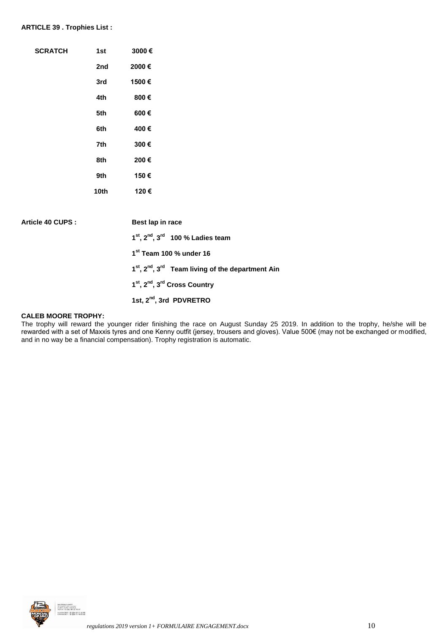#### **ARTICLE 39 . Trophies List :**

| <b>SCRATCH</b>    | 1st  | 3000€                                                                  |
|-------------------|------|------------------------------------------------------------------------|
|                   | 2nd  | 2000€                                                                  |
|                   | 3rd  | 1500€                                                                  |
|                   | 4th  | 800€                                                                   |
|                   | 5th  | 600€                                                                   |
|                   | 6th  | 400€                                                                   |
|                   | 7th  | 300€                                                                   |
|                   | 8th  | 200€                                                                   |
|                   | 9th  | 150€                                                                   |
|                   | 10th | 120€                                                                   |
|                   |      |                                                                        |
| Article 40 CUPS : |      | Best lap in race                                                       |
|                   |      | $1st$ , $2nd$ , $3rd$ 100 % Ladies team                                |
|                   |      | 1st Team 100 % under 16                                                |
|                   |      | 1 <sup>st</sup> , 2 <sup>nd</sup> , 3 <sup>rd</sup> Team living of the |

**1 st, 2nd, 3rd Cross Country**

**1st, 2nd, 3rd PDVRETRO**

#### **CALEB MOORE TROPHY:**

The trophy will reward the younger rider finishing the race on August Sunday 25 2019. In addition to the trophy, he/she will be rewarded with a set of Maxxis tyres and one Kenny outfit (jersey, trousers and gloves). Value 500€ (may not be exchanged or modified, and in no way be a financial compensation). Trophy registration is automatic.

**the department Ain** 

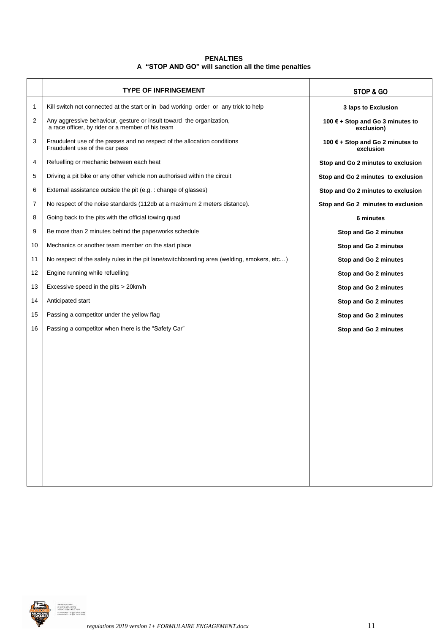# **PENALTIES A "STOP AND GO" will sanction all the time penalties**

|    | <b>TYPE OF INFRINGEMENT</b>                                                                                              | STOP & GO                                      |
|----|--------------------------------------------------------------------------------------------------------------------------|------------------------------------------------|
| 1  | Kill switch not connected at the start or in bad working order or any trick to help                                      | 3 laps to Exclusion                            |
| 2  | Any aggressive behaviour, gesture or insult toward the organization,<br>a race officer, by rider or a member of his team | 100 € + Stop and Go 3 minutes to<br>exclusion) |
| 3  | Fraudulent use of the passes and no respect of the allocation conditions<br>Fraudulent use of the car pass               | 100 € + Stop and Go 2 minutes to<br>exclusion  |
| 4  | Refuelling or mechanic between each heat                                                                                 | Stop and Go 2 minutes to exclusion             |
| 5  | Driving a pit bike or any other vehicle non authorised within the circuit                                                | Stop and Go 2 minutes to exclusion             |
| 6  | External assistance outside the pit (e.g.: change of glasses)                                                            | Stop and Go 2 minutes to exclusion             |
| 7  | No respect of the noise standards (112db at a maximum 2 meters distance).                                                | Stop and Go 2 minutes to exclusion             |
| 8  | Going back to the pits with the official towing quad                                                                     | 6 minutes                                      |
| 9  | Be more than 2 minutes behind the paperworks schedule                                                                    | Stop and Go 2 minutes                          |
| 10 | Mechanics or another team member on the start place                                                                      | Stop and Go 2 minutes                          |
| 11 | No respect of the safety rules in the pit lane/switchboarding area (welding, smokers, etc)                               | Stop and Go 2 minutes                          |
| 12 | Engine running while refuelling                                                                                          | Stop and Go 2 minutes                          |
| 13 | Excessive speed in the pits > 20km/h                                                                                     | Stop and Go 2 minutes                          |
| 14 | Anticipated start                                                                                                        | Stop and Go 2 minutes                          |
| 15 | Passing a competitor under the yellow flag                                                                               | Stop and Go 2 minutes                          |
| 16 | Passing a competitor when there is the "Safety Car"                                                                      | Stop and Go 2 minutes                          |
|    |                                                                                                                          |                                                |

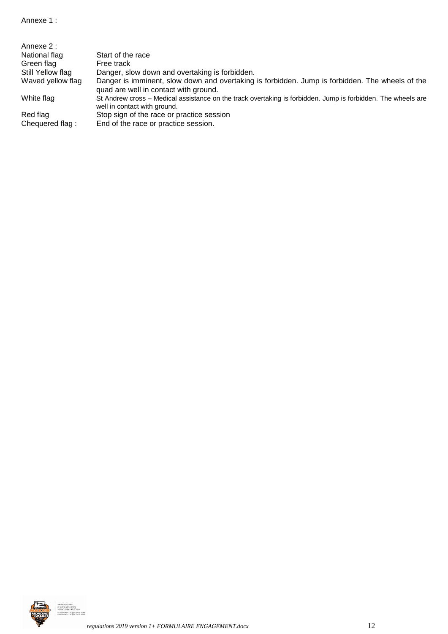| Annexe 2:         |                                                                                                                                              |
|-------------------|----------------------------------------------------------------------------------------------------------------------------------------------|
| National flag     | Start of the race                                                                                                                            |
| Green flag        | Free track                                                                                                                                   |
| Still Yellow flag | Danger, slow down and overtaking is forbidden.                                                                                               |
| Waved yellow flag | Danger is imminent, slow down and overtaking is forbidden. Jump is forbidden. The wheels of the<br>quad are well in contact with ground.     |
| White flag        | St Andrew cross – Medical assistance on the track overtaking is forbidden. Jump is forbidden. The wheels are<br>well in contact with ground. |
| Red flag          | Stop sign of the race or practice session                                                                                                    |
| Chequered flag:   | End of the race or practice session.                                                                                                         |

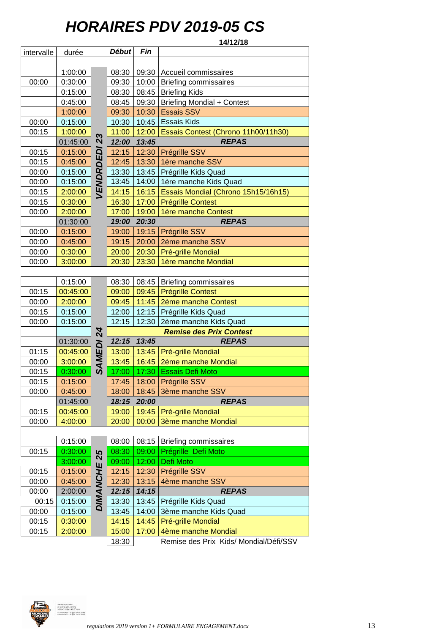# *HORAIRES PDV 2019-05 CS*

| 14/12/18   |          |             |              |       |                                     |  |
|------------|----------|-------------|--------------|-------|-------------------------------------|--|
| intervalle | durée    |             | <b>Début</b> | Fin   |                                     |  |
|            |          |             |              |       |                                     |  |
|            | 1:00:00  |             | 08:30        | 09:30 | Accueil commissaires                |  |
| 00:00      | 0:30:00  |             | 09:30        | 10:00 | <b>Briefing commissaires</b>        |  |
|            | 0:15:00  |             | 08:30        | 08:45 | <b>Briefing Kids</b>                |  |
|            | 0:45:00  |             | 08:45        | 09:30 | <b>Briefing Mondial + Contest</b>   |  |
|            | 1:00:00  |             | 09:30        | 10:30 | <b>Essais SSV</b>                   |  |
| 00:00      | 0:15:00  |             | 10:30        | 10:45 | <b>Essais Kids</b>                  |  |
| 00:15      | 1:00:00  |             | 11:00        | 12:00 | Essais Contest (Chrono 11h00/11h30) |  |
|            | 01:45:00 | 23          | 12:00        | 13:45 | <b>REPAS</b>                        |  |
| 00:15      | 0:15:00  |             | 12:15        | 12:30 | Prégrille SSV                       |  |
| 00:15      | 0:45:00  | VENDRDEDI   | 12:45        | 13:30 | 1ère manche SSV                     |  |
| 00:00      | 0:15:00  |             | 13:30        | 13:45 | Prégrille Kids Quad                 |  |
| 00:00      | 0:15:00  |             | 13:45        | 14:00 | 1ère manche Kids Quad               |  |
| 00:15      | 2:00:00  |             | 14:15        | 16:15 | Essais Mondial (Chrono 15h15/16h15) |  |
| 00:15      | 0:30:00  |             | 16:30        | 17:00 | <b>Prégrille Contest</b>            |  |
| 00:00      | 2:00:00  |             | 17:00        | 19:00 | 1ère manche Contest                 |  |
|            | 01:30:00 |             | 19:00        | 20:30 | <b>REPAS</b>                        |  |
| 00:00      | 0:15:00  |             | 19:00        | 19:15 | Prégrille SSV                       |  |
| 00:00      | 0:45:00  |             | 19:15        | 20:00 | 2ème manche SSV                     |  |
| 00:00      | 0:30:00  |             | 20:00        | 20:30 | Pré-grille Mondial                  |  |
| 00:00      | 3:00:00  |             | 20:30        | 23:30 | 1ère manche Mondial                 |  |
|            |          |             |              |       |                                     |  |
|            | 0:15:00  |             | 08:30        | 08:45 | <b>Briefing commissaires</b>        |  |
| 00:15      | 00:45:00 |             | 09:00        | 09:45 | <b>Prégrille Contest</b>            |  |
| 00:00      | 2:00:00  |             | 09:45        | 11:45 | 2ème manche Contest                 |  |
| 00:15      | 0:15:00  |             | 12:00        | 12:15 | Prégrille Kids Quad                 |  |
| 00:00      | 0:15:00  |             | 12:15        | 12:30 | 2ème manche Kids Quad               |  |
|            |          |             |              |       | <b>Remise des Prix Contest</b>      |  |
|            | 01:30:00 |             | 12:15        | 13:45 | <b>REPAS</b>                        |  |
| 01:15      | 00:45:00 |             | 13:00        | 13:45 | Pré-grille Mondial                  |  |
| 00:00      | 3:00:00  | SAMEDI 24   | 13:45        | 16:45 | 2ème manche Mondial                 |  |
| 00:15      | 0:30:00  |             | 17:00        | 17:30 | <b>Essais Defi Moto</b>             |  |
| 00:15      | 0:15:00  |             | 17:45        |       | 18:00 Prégrille SSV                 |  |
| 00:00      | 0:45:00  |             | 18:00        | 18:45 | 3ème manche SSV                     |  |
|            | 01:45:00 |             | 18:15        | 20:00 | <b>REPAS</b>                        |  |
| 00:15      | 00:45:00 |             | 19:00        | 19:45 | Pré-grille Mondial                  |  |
| 00:00      | 4:00:00  |             | 20:00        | 00:00 | <b>3ème manche Mondial</b>          |  |
|            |          |             |              |       |                                     |  |
|            | 0:15:00  |             | 08:00        | 08:15 | <b>Briefing commissaires</b>        |  |
| 00:15      | 0:30:00  |             | 08:30        | 09:00 | Prégrille Defi Moto                 |  |
|            | 3:00:00  |             | 09:00        | 12:00 | Defi Moto                           |  |
| 00:15      | 0:15:00  |             | 12:15        | 12:30 | Prégrille SSV                       |  |
| 00:00      | 0:45:00  | DIMANCHE 25 | 12:30        | 13:15 | 4ème manche SSV                     |  |
| 00:00      | 2:00:00  |             | 12:15        | 14:15 | <b>REPAS</b>                        |  |
| 00:15      | 0:15:00  |             | 13:30        | 13:45 | Prégrille Kids Quad                 |  |
|            |          |             |              |       |                                     |  |

Secrétoriot AMPV<br>52 chemin des crouses<br>01290 Crottet TRANCE<br>16//fox : 33 (0) 3 85 23 1 MANARGET : 33 (094 B7 71 65 78)<br>MANARGET : 33 (094 B7 71 65 78)<br>EMARGET : 33 (094 11 70 55 22) 18:30 Remise des Prix Kids/ Mondial/Défi/SSV

00:15 **0:30:00** 14:15 14:45 Pré-grille Mondial 00:15 | 2:00:00 | | 15:00 | 17:00 | 4ème manche Mondial

00:15 0:15:00  $\frac{1}{2}$  12:15 12:30 Prégrille SSV 00:00 0:45:00 | 9 12:30 13:15 4ème manche SSV 00:00 2:00:00 *12:15 14:15 REPAS* 00:15 0:15:00 | 13:30 13:45 Prégrille Kids Quad 00:00 | 0:15:00 | | 13:45 | 14:00 | 3ème manche Kids Quad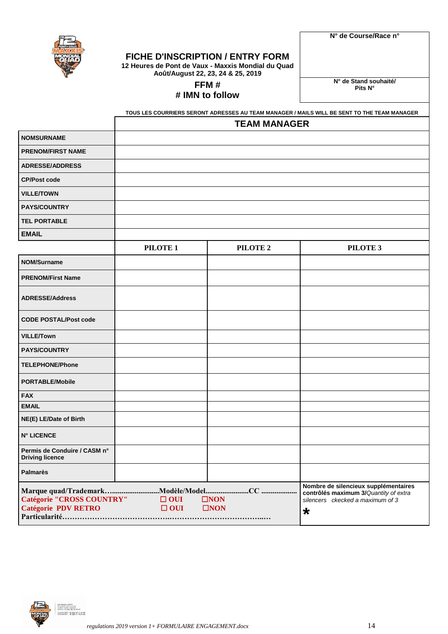

**N° de Course/Race n°**

# **FICHE D'INSCRIPTION / ENTRY FORM**

**12 Heures de Pont de Vaux - Maxxis Mondial du Quad Août/August 22, 23, 24 & 25, 2019**

**FFM #** 

# **# IMN to follow**

**N° de Stand souhaité/ Pits N°**

|                                                         | <b>TEAM MANAGER</b>      |                                |                                                                                                                              |  |  |
|---------------------------------------------------------|--------------------------|--------------------------------|------------------------------------------------------------------------------------------------------------------------------|--|--|
| <b>NOMSURNAME</b>                                       |                          |                                |                                                                                                                              |  |  |
| <b>PRENOM/FIRST NAME</b>                                |                          |                                |                                                                                                                              |  |  |
| <b>ADRESSE/ADDRESS</b>                                  |                          |                                |                                                                                                                              |  |  |
| <b>CP/Post code</b>                                     |                          |                                |                                                                                                                              |  |  |
| <b>VILLE/TOWN</b>                                       |                          |                                |                                                                                                                              |  |  |
| <b>PAYS/COUNTRY</b>                                     |                          |                                |                                                                                                                              |  |  |
| <b>TEL PORTABLE</b>                                     |                          |                                |                                                                                                                              |  |  |
| <b>EMAIL</b>                                            |                          |                                |                                                                                                                              |  |  |
|                                                         | PILOTE <sub>1</sub>      | PILOTE <sub>2</sub>            | PILOTE <sub>3</sub>                                                                                                          |  |  |
| <b>NOM/Surname</b>                                      |                          |                                |                                                                                                                              |  |  |
| <b>PRENOM/First Name</b>                                |                          |                                |                                                                                                                              |  |  |
| <b>ADRESSE/Address</b>                                  |                          |                                |                                                                                                                              |  |  |
| <b>CODE POSTAL/Post code</b>                            |                          |                                |                                                                                                                              |  |  |
| <b>VILLE/Town</b>                                       |                          |                                |                                                                                                                              |  |  |
| <b>PAYS/COUNTRY</b>                                     |                          |                                |                                                                                                                              |  |  |
| <b>TELEPHONE/Phone</b>                                  |                          |                                |                                                                                                                              |  |  |
| <b>PORTABLE/Mobile</b>                                  |                          |                                |                                                                                                                              |  |  |
| <b>FAX</b>                                              |                          |                                |                                                                                                                              |  |  |
| <b>EMAIL</b>                                            |                          |                                |                                                                                                                              |  |  |
| NE(E) LE/Date of Birth                                  |                          |                                |                                                                                                                              |  |  |
| <b>N° LICENCE</b>                                       |                          |                                |                                                                                                                              |  |  |
| Permis de Conduire / CASM n°<br><b>Driving licence</b>  |                          |                                |                                                                                                                              |  |  |
| <b>Palmarès</b>                                         |                          |                                |                                                                                                                              |  |  |
| Catégorie "CROSS COUNTRY"<br><b>Catégorie PDV RETRO</b> | $\Box$ OUI<br>$\Box$ OUI | $\square$ NON<br>$\square$ NON | Nombre de silencieux supplémentaires<br>contrôlés maximum 3/Quantity of extra<br>silencers ckecked a maximum of 3<br>$\star$ |  |  |